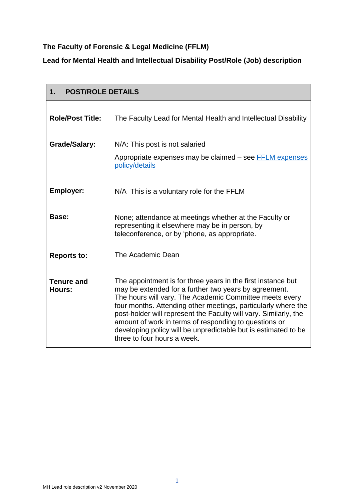# **The Faculty of Forensic & Legal Medicine (FFLM)**

## **Lead for Mental Health and Intellectual Disability Post/Role (Job) description**

| <b>POST/ROLE DETAILS</b><br>1. |                                                                                                                                                                                                                                                                                                                                                                                                                                                                                 |  |
|--------------------------------|---------------------------------------------------------------------------------------------------------------------------------------------------------------------------------------------------------------------------------------------------------------------------------------------------------------------------------------------------------------------------------------------------------------------------------------------------------------------------------|--|
| <b>Role/Post Title:</b>        | The Faculty Lead for Mental Health and Intellectual Disability                                                                                                                                                                                                                                                                                                                                                                                                                  |  |
| <b>Grade/Salary:</b>           | N/A: This post is not salaried                                                                                                                                                                                                                                                                                                                                                                                                                                                  |  |
|                                | Appropriate expenses may be claimed - see FFLM expenses<br>policy/details                                                                                                                                                                                                                                                                                                                                                                                                       |  |
| <b>Employer:</b>               | N/A This is a voluntary role for the FFLM                                                                                                                                                                                                                                                                                                                                                                                                                                       |  |
| Base:                          | None; attendance at meetings whether at the Faculty or<br>representing it elsewhere may be in person, by<br>teleconference, or by 'phone, as appropriate.                                                                                                                                                                                                                                                                                                                       |  |
| <b>Reports to:</b>             | The Academic Dean                                                                                                                                                                                                                                                                                                                                                                                                                                                               |  |
| <b>Tenure and</b><br>Hours:    | The appointment is for three years in the first instance but<br>may be extended for a further two years by agreement.<br>The hours will vary. The Academic Committee meets every<br>four months. Attending other meetings, particularly where the<br>post-holder will represent the Faculty will vary. Similarly, the<br>amount of work in terms of responding to questions or<br>developing policy will be unpredictable but is estimated to be<br>three to four hours a week. |  |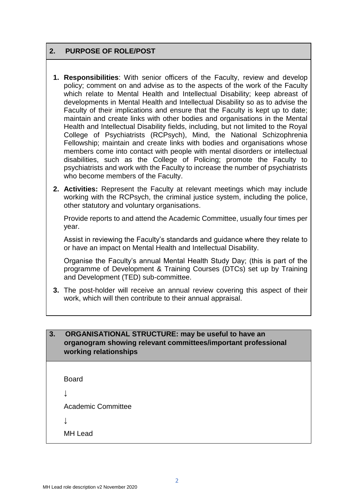## **2. PURPOSE OF ROLE/POST**

- **1. Responsibilities**: With senior officers of the Faculty, review and develop policy; comment on and advise as to the aspects of the work of the Faculty which relate to Mental Health and Intellectual Disability; keep abreast of developments in Mental Health and Intellectual Disability so as to advise the Faculty of their implications and ensure that the Faculty is kept up to date; maintain and create links with other bodies and organisations in the Mental Health and Intellectual Disability fields, including, but not limited to the Royal College of Psychiatrists (RCPsych), Mind, the National Schizophrenia Fellowship; maintain and create links with bodies and organisations whose members come into contact with people with mental disorders or intellectual disabilities, such as the College of Policing; promote the Faculty to psychiatrists and work with the Faculty to increase the number of psychiatrists who become members of the Faculty.
- **2. Activities:** Represent the Faculty at relevant meetings which may include working with the RCPsych, the criminal justice system, including the police, other statutory and voluntary organisations.

Provide reports to and attend the Academic Committee, usually four times per year.

Assist in reviewing the Faculty's standards and guidance where they relate to or have an impact on Mental Health and Intellectual Disability.

Organise the Faculty's annual Mental Health Study Day; (this is part of the programme of Development & Training Courses (DTCs) set up by Training and Development (TED) sub-committee.

**3.** The post-holder will receive an annual review covering this aspect of their work, which will then contribute to their annual appraisal.

## **3. ORGANISATIONAL STRUCTURE: may be useful to have an organogram showing relevant committees/important professional working relationships**

Board

↓

Academic Committee

 $\perp$ 

MH Lead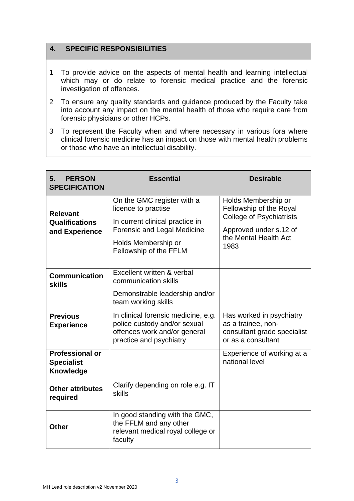## **4. SPECIFIC RESPONSIBILITIES**

- 1 To provide advice on the aspects of mental health and learning intellectual which may or do relate to forensic medical practice and the forensic investigation of offences.
- 2 To ensure any quality standards and guidance produced by the Faculty take into account any impact on the mental health of those who require care from forensic physicians or other HCPs.
- 3 To represent the Faculty when and where necessary in various fora where clinical forensic medicine has an impact on those with mental health problems or those who have an intellectual disability.

| <b>PERSON</b><br>5.<br><b>SPECIFICATION</b>                     | <b>Essential</b>                                                                                                                                                     | <b>Desirable</b>                                                                                                                             |
|-----------------------------------------------------------------|----------------------------------------------------------------------------------------------------------------------------------------------------------------------|----------------------------------------------------------------------------------------------------------------------------------------------|
| <b>Relevant</b><br>Qualifications<br>and Experience             | On the GMC register with a<br>licence to practise<br>In current clinical practice in<br>Forensic and Legal Medicine<br>Holds Membership or<br>Fellowship of the FFLM | Holds Membership or<br>Fellowship of the Royal<br><b>College of Psychiatrists</b><br>Approved under s.12 of<br>the Mental Health Act<br>1983 |
| <b>Communication</b><br><b>skills</b>                           | Excellent written & verbal<br>communication skills<br>Demonstrable leadership and/or<br>team working skills                                                          |                                                                                                                                              |
| <b>Previous</b><br><b>Experience</b>                            | In clinical forensic medicine, e.g.<br>police custody and/or sexual<br>offences work and/or general<br>practice and psychiatry                                       | Has worked in psychiatry<br>as a trainee, non-<br>consultant grade specialist<br>or as a consultant                                          |
| <b>Professional or</b><br><b>Specialist</b><br><b>Knowledge</b> |                                                                                                                                                                      | Experience of working at a<br>national level                                                                                                 |
| <b>Other attributes</b><br>required                             | Clarify depending on role e.g. IT<br>skills                                                                                                                          |                                                                                                                                              |
| <b>Other</b>                                                    | In good standing with the GMC,<br>the FFLM and any other<br>relevant medical royal college or<br>faculty                                                             |                                                                                                                                              |